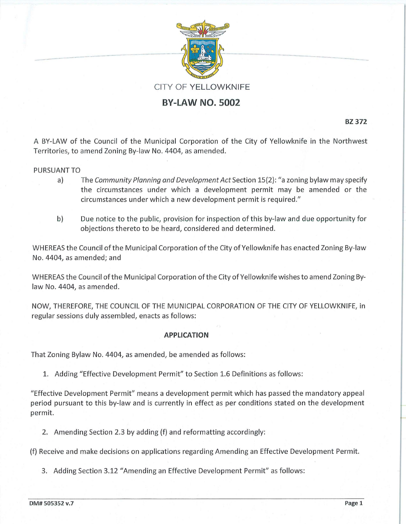

# **BY-LAW NO. 5002**

**BZ 372** 

. .......... ..

A BY-LAW of the Council of the Municipal Corporation of the City of Yellowknife in the Northwest Territories, to amend Zoning By-law No. 4404, as amended.

# PURSUANT TO

- a) The *Community Planning and Development Act* Section 15(2): "a zoning bylaw may specify the circumstances under which a development permit may be amended or the circumstances under which a new development permit is required."
- b) Due notice to the public, provision for inspection of this by-law and due opportunity for objections thereto to be heard, considered and determined.

WHEREAS the Council of the Municipal Corporation of the City of Yellowknife has enacted Zoning By-law No. 4404, as amended; and

WHEREAS the Council of the Municipal Corporation of the City of Yellowknife wishes to amend Zoning Bylaw No. 4404, as amended.

NOW, THEREFORE, THE COUNCIL OF THE MUNICIPAL CORPORATION OF THE CITY OF YELLOWKNIFE, in regular sessions duly assembled, enacts as follows:

## **APPLICATION**

That Zoning Bylaw No. 4404, as amended, be amended as follows:

1. Adding "Effective Development Permit" to Section 1.6 Definitions as follows:

"Effective Development Permit" means a development permit which has passed the mandatory appeal period pursuant to this by-law and is currently in effect as per conditions stated on the development permit.

2. Amending Section 2.3 by adding (f) and reformatting accordingly:

(f) Receive and make decisions on applications regarding Amending an Effective Development Permit.

3. Adding Section 3.12 "Amending an Effective Development Permit" as follows: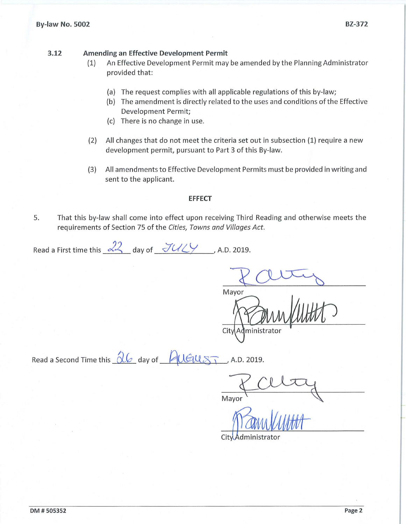#### **By-law No. 5002 BZ-372**

## **3.12 Amending an Effective Development Permit**

- (1) An Effective Development Permit may be amended by the Planning Administrator provided that:
	- (a) The request complies with all applicable regulations of this by-law;
	- (b) The amendment is directly related to the uses and conditions of the Effective Development Permit;
	- (c) There is no change in use.
- (2) All changes that do not meet the criteria set out in subsection (1) require a new development permit, pursuant to Part 3 of this By-law.
- (3) All amendments to Effective Development Permits must be provided in writing and sent to the applicant.

## **EFFECT**

5. That this by-law shall come into effect upon receiving Third Reading and otherwise meets the requirements of Section 75 of the *Cities, Towns and Villages Act.* 

Read a First time this  $\sqrt{2^2}$  day of  $\sqrt{2\frac{1}{\sqrt{2}}}$ , A.D. 2019.

Mayor City Administrator

Read a Second Time this  $\frac{\partial \mathcal{L}}{\partial x}$  day of  $R(\mathcal{L})$   $\mathcal{L}(\mathcal{L})$ . A.D. 2019.

Mayor

City Administrator